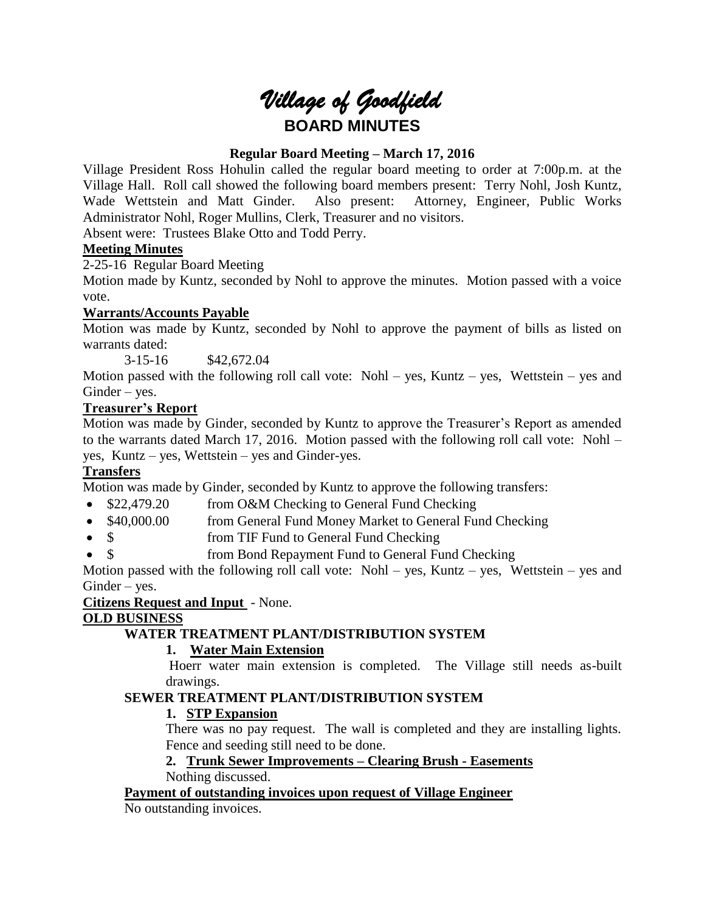# *Village of Goodfield* **BOARD MINUTES**

# **Regular Board Meeting – March 17, 2016**

Village President Ross Hohulin called the regular board meeting to order at 7:00p.m. at the Village Hall. Roll call showed the following board members present: Terry Nohl, Josh Kuntz, Wade Wettstein and Matt Ginder. Also present: Attorney, Engineer, Public Works Administrator Nohl, Roger Mullins, Clerk, Treasurer and no visitors.

Absent were: Trustees Blake Otto and Todd Perry.

# **Meeting Minutes**

2-25-16 Regular Board Meeting

Motion made by Kuntz, seconded by Nohl to approve the minutes. Motion passed with a voice vote.

# **Warrants/Accounts Payable**

Motion was made by Kuntz, seconded by Nohl to approve the payment of bills as listed on warrants dated:

3-15-16 \$42,672.04

Motion passed with the following roll call vote: Nohl – yes, Kuntz – yes, Wettstein – yes and Ginder – yes.

# **Treasurer's Report**

Motion was made by Ginder, seconded by Kuntz to approve the Treasurer's Report as amended to the warrants dated March 17, 2016. Motion passed with the following roll call vote: Nohl – yes, Kuntz – yes, Wettstein – yes and Ginder-yes.

# **Transfers**

Motion was made by Ginder, seconded by Kuntz to approve the following transfers:

- \$22,479.20 from O&M Checking to General Fund Checking
- \$40,000.00 from General Fund Money Market to General Fund Checking
- \$ from TIF Fund to General Fund Checking
- \$ from Bond Repayment Fund to General Fund Checking

Motion passed with the following roll call vote: Nohl – yes, Kuntz – yes, Wettstein – yes and Ginder – yes.

# **Citizens Request and Input** - None.

# **OLD BUSINESS**

# **WATER TREATMENT PLANT/DISTRIBUTION SYSTEM**

# **1. Water Main Extension**

Hoerr water main extension is completed. The Village still needs as-built drawings.

# **SEWER TREATMENT PLANT/DISTRIBUTION SYSTEM**

# **1. STP Expansion**

There was no pay request. The wall is completed and they are installing lights. Fence and seeding still need to be done.

# **2. Trunk Sewer Improvements – Clearing Brush - Easements**

Nothing discussed.

# **Payment of outstanding invoices upon request of Village Engineer**

No outstanding invoices.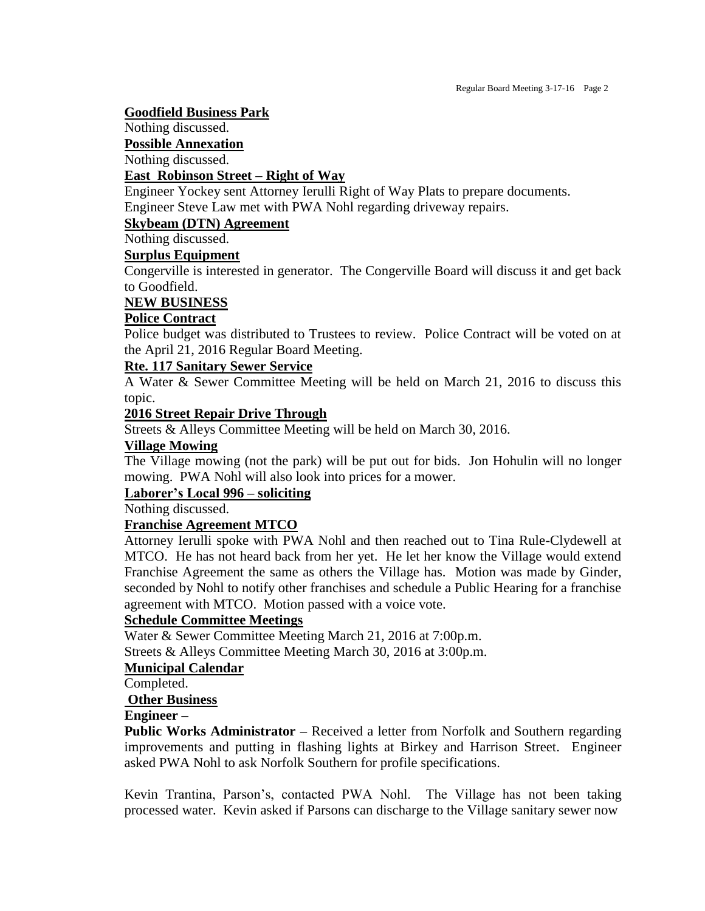#### **Goodfield Business Park**

Nothing discussed.

**Possible Annexation**

Nothing discussed.

## **East Robinson Street – Right of Way**

Engineer Yockey sent Attorney Ierulli Right of Way Plats to prepare documents. Engineer Steve Law met with PWA Nohl regarding driveway repairs.

#### **Skybeam (DTN) Agreement**

Nothing discussed.

#### **Surplus Equipment**

Congerville is interested in generator. The Congerville Board will discuss it and get back to Goodfield.

#### **NEW BUSINESS**

#### **Police Contract**

Police budget was distributed to Trustees to review. Police Contract will be voted on at the April 21, 2016 Regular Board Meeting.

#### **Rte. 117 Sanitary Sewer Service**

A Water & Sewer Committee Meeting will be held on March 21, 2016 to discuss this topic.

#### **2016 Street Repair Drive Through**

Streets & Alleys Committee Meeting will be held on March 30, 2016.

## **Village Mowing**

The Village mowing (not the park) will be put out for bids. Jon Hohulin will no longer mowing. PWA Nohl will also look into prices for a mower.

## **Laborer's Local 996 – soliciting**

Nothing discussed.

#### **Franchise Agreement MTCO**

Attorney Ierulli spoke with PWA Nohl and then reached out to Tina Rule-Clydewell at MTCO. He has not heard back from her yet. He let her know the Village would extend Franchise Agreement the same as others the Village has. Motion was made by Ginder, seconded by Nohl to notify other franchises and schedule a Public Hearing for a franchise agreement with MTCO. Motion passed with a voice vote.

#### **Schedule Committee Meetings**

Water & Sewer Committee Meeting March 21, 2016 at 7:00p.m.

Streets & Alleys Committee Meeting March 30, 2016 at 3:00p.m.

## **Municipal Calendar**

Completed.

#### **Other Business**

#### **Engineer –**

**Public Works Administrator** – Received a letter from Norfolk and Southern regarding improvements and putting in flashing lights at Birkey and Harrison Street. Engineer asked PWA Nohl to ask Norfolk Southern for profile specifications.

Kevin Trantina, Parson's, contacted PWA Nohl. The Village has not been taking processed water. Kevin asked if Parsons can discharge to the Village sanitary sewer now